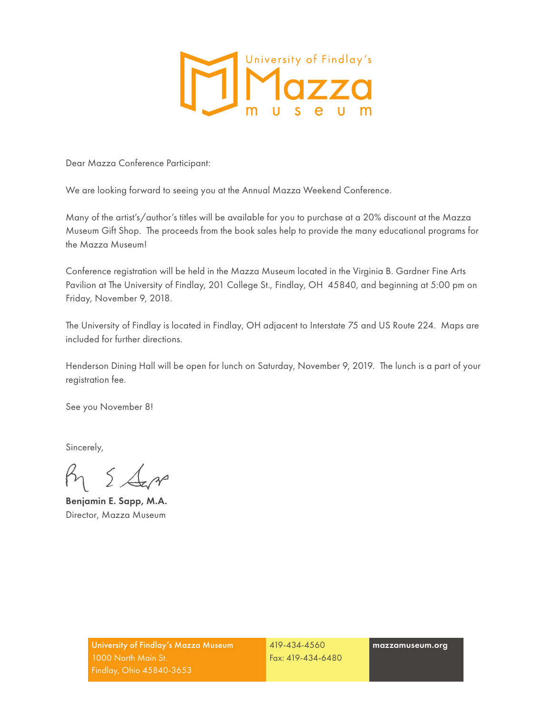

Dear Mazza Conference Participant:

We are looking forward to seeing you at the Annual Mazza Weekend Conference.

Many of the artist's/author's titles will be available for you to purchase at a 20% discount at the Mazza Museum Gift Shop. The proceeds from the book sales help to provide the many educational programs for the Mazza Museum!

Conference registration will be held in the Mazza Museum located in the Virginia B. Gardner Fine Arts Pavilion at The University of Findlay, 201 College St., Findlay, OH 45840, and beginning at 5:00 pm on Friday, November 9, 2018.

The University of Findlay is located in Findlay, OH adjacent to Interstate 75 and US Route 224. Maps are included for further directions.

Henderson Dining Hall will be open for lunch on Saturday, November 9, 2019. The lunch is a part of your registration fee.

See you November 8!

Sincerely,

 $R_{1}$   $\leq$   $\Delta$ 

Benjamin E. Sapp, M.A. Director, Mazza Museum

419-434-4560 Fax: 419-434-6480 mazzamuseum.org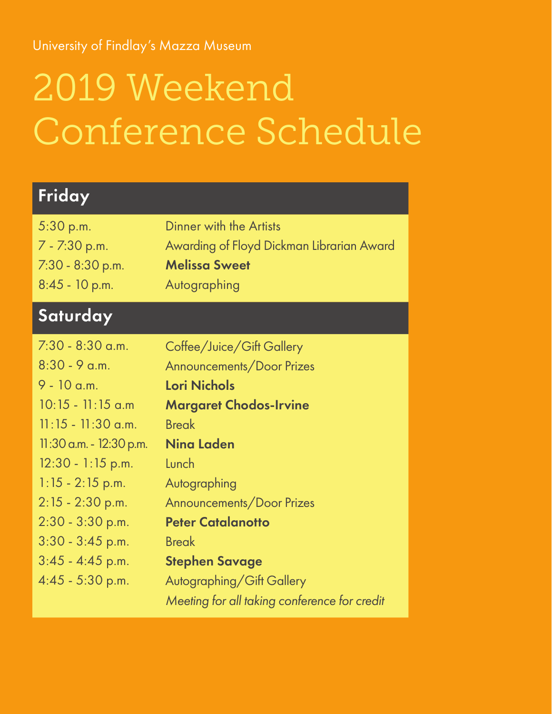University of Findlay's Mazza Museum

# 2019 Weekend Conference Schedule

| Friday                                                                                                                                                                        |                                                                                                                                                                             |
|-------------------------------------------------------------------------------------------------------------------------------------------------------------------------------|-----------------------------------------------------------------------------------------------------------------------------------------------------------------------------|
| 5:30 p.m.<br>7 - 7:30 p.m.<br>$7:30 - 8:30$ p.m.<br>$8:45 - 10$ p.m.                                                                                                          | Dinner with the Artists<br>Awarding of Floyd Dickman Librarian Award<br><b>Melissa Sweet</b><br>Autographing                                                                |
| Saturday                                                                                                                                                                      |                                                                                                                                                                             |
| $7:30 - 8:30$ a.m.<br>$8:30 - 9$ a.m.<br>$9 - 10$ a.m.<br>$10:15 - 11:15$ a.m<br>$11:15 - 11:30$ a.m.<br>11:30 a.m. - 12:30 p.m.<br>$12:30 - 1:15$ p.m.<br>$1:15 - 2:15$ p.m. | Coffee/Juice/Gift Gallery<br>Announcements/Door Prizes<br>Lori Nichols<br><b>Margaret Chodos-Irvine</b><br><b>Break</b><br><b>Ning Laden</b><br>Lunch<br>Autographing       |
| $2:15 - 2:30$ p.m.<br>$2:30 - 3:30$ p.m.<br>$3:30 - 3:45$ p.m.<br>$3:45 - 4:45$ p.m.<br>$4:45 - 5:30$ p.m.                                                                    | Announcements/Door Prizes<br><b>Peter Catalanotto</b><br><b>Break</b><br><b>Stephen Savage</b><br>Autographing/Gift Gallery<br>Meeting for all taking conference for credit |